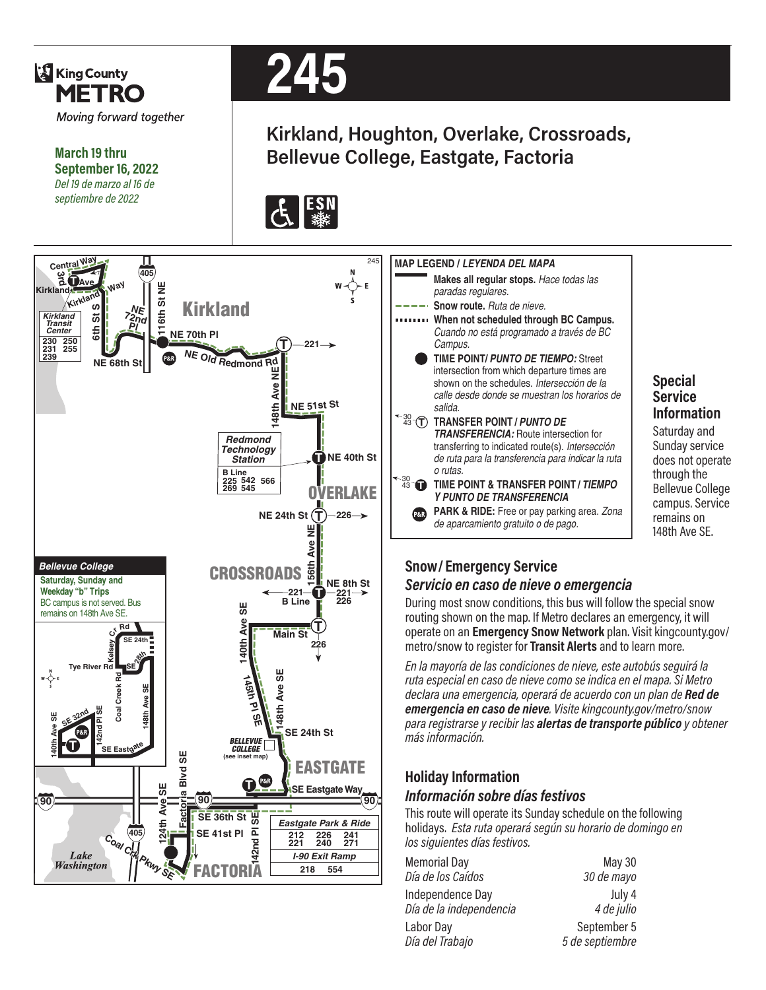

**When not scheduled through BC Campus.** *Cuando no está programado a través de BC*  **TIME POINT/** *PUNTO DE TIEMPO:* Street intersection from which departure times are shown on the schedules. *Intersección de la calle desde donde se muestran los horarios de TRANSFERENCIA:* Route intersection for transferring to indicated route(s). *Intersección de ruta para la transferencia para indicar la ruta*  **PARK & RIDE:** Free or pay parking area. *Zona*  **Special Service Information** Saturday and Sunday service does not operate through the Bellevue College campus. Service remains on

148th Ave SE.

#### *Servicio en caso de nieve o emergencia*

During most snow conditions, this bus will follow the special snow routing shown on the map. If Metro declares an emergency, it will operate on an **Emergency Snow Network** plan. Visit kingcounty.gov/ metro/snow to register for **Transit Alerts** and to learn more.

*En la mayoría de las condiciones de nieve, este autobús seguirá la ruta especial en caso de nieve como se indica en el mapa. Si Metro declara una emergencia, operará de acuerdo con un plan de Red de emergencia en caso de nieve. Visite kingcounty.gov/metro/snow para registrarse y recibir las alertas de transporte público y obtener* 

### *Información sobre días festivos*

This route will operate its Sunday schedule on the following holidays. *Esta ruta operará según su horario de domingo en* 

| <b>Memorial Day</b>     | May 30          |
|-------------------------|-----------------|
| Día de los Caídos       | 30 de mayo      |
| Independence Day        | July 4          |
| Día de la independencia | 4 de julio      |
| Labor Day               | September 5     |
| Día del Trabajo         | 5 de septiembre |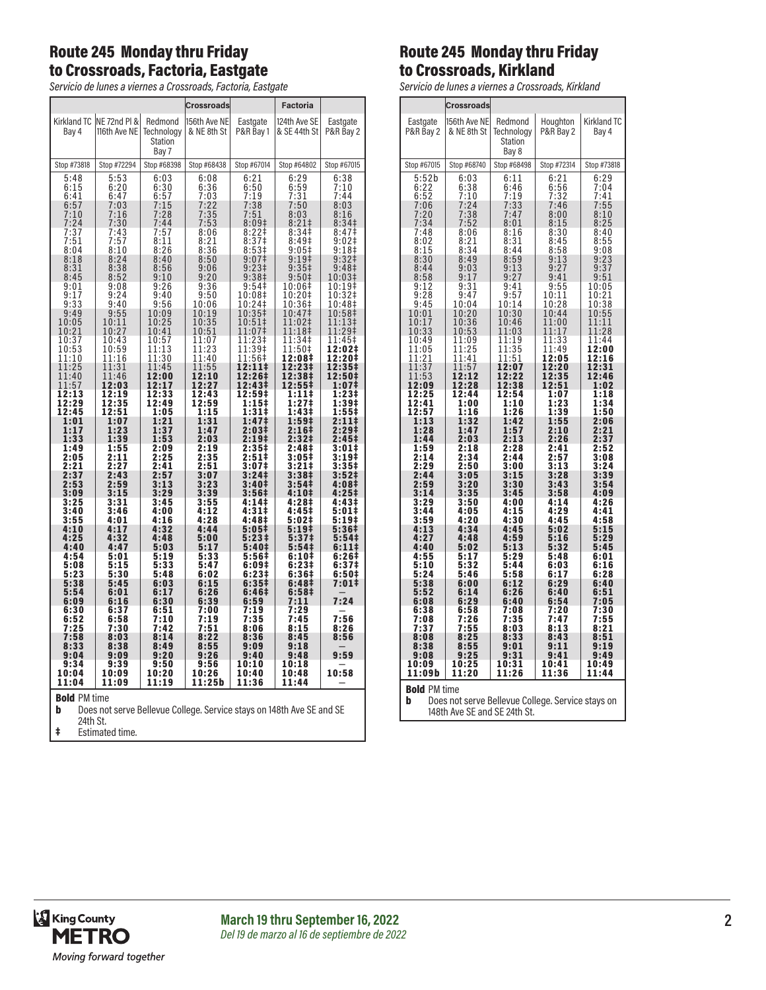## Route 245 Monday thru Friday to Crossroads, Factoria, Eastgate

*Servicio de lunes a viernes a Crossroads, Factoria, Eastgate*

|                                                                                                   |                              |                                           | <b>Crossroads</b>              |                                     | Factoria                                         |                                       |
|---------------------------------------------------------------------------------------------------|------------------------------|-------------------------------------------|--------------------------------|-------------------------------------|--------------------------------------------------|---------------------------------------|
| Kirkland TC<br>Bay 4                                                                              | NE 72nd PI &<br>116th Ave NE | Redmond<br>Technology<br>Station<br>Bay 7 | 156th Ave NE<br>& NE 8th St    | Eastgate<br>P&R Bay 1               | 124th Ave SE<br>& SE 44th St                     | Eastgate<br>P&R Bay 2                 |
| Stop #73818                                                                                       | Stop #72294                  | Stop #68398                               | Stop #68438                    | Stop #67014                         | Stop #64802                                      | Stop #67015                           |
| 5:48<br>6:15<br>6:41<br>6:57                                                                      | 5:53<br>6:20<br>6:47<br>7:03 | 6:03<br>6:30<br>6:57<br>7:15              | 6:08<br>6:36<br>7:03<br>7:22   | $6:21$<br>$6:50$<br>7:19<br>7:38    | 6:29<br>6:59<br>7:31<br>7:50                     | 6:38<br>7:10<br>7:44<br>8:03          |
| $7:10$<br>$7:24$                                                                                  | 7:16<br>7:30<br>7:43         | 7:28<br>7:44<br>7:57                      | $7:35$<br>$7:53$<br>8:06       | 7:51<br>8:09#<br>8:22‡              | 8:03<br>8:21#<br>8:34 <sup>‡</sup>               | 8:16<br>8:34 <sup>‡</sup><br>8:47‡    |
| $\frac{7:57}{7:51}$                                                                               | 7:57                         | 8:11                                      | 8:21                           | 8:37 <sup>‡</sup>                   | 8:49 <sup>‡</sup>                                | 9:02‡                                 |
| 8:04                                                                                              | 8:10                         | 8:26                                      | 8:36                           | 8:53#                               | $9:05\pm$                                        | 9:18 <sup>‡</sup>                     |
| 8:18                                                                                              | 8:24                         | 8:40                                      | 8:50                           | 9:07‡                               | $9:19^+$                                         | 9:32‡                                 |
| 8:31<br>8:45<br>9:01                                                                              | 8:38<br>8:52<br>9:08         | $8:56$<br>9:10<br>9:26                    | 9:06<br>9:20<br>9:36           | 9:23 <sup>‡</sup><br>9:38‡<br>9:54‡ | 9:35 <sup>‡</sup><br>9:50 <sup>‡</sup><br>10:06‡ | 9:48 <sup>‡</sup><br>10:03‡<br>10:19‡ |
| 9:17                                                                                              | 9:24                         | 9:40                                      | 9:50                           | 10:08‡                              | 10:20‡                                           | 10:32‡                                |
| 9:33                                                                                              | 9:40                         | 9:56                                      | 10:06                          | 10:24‡                              | 10:36‡                                           | 10:48‡                                |
| 9:49                                                                                              | 9:55                         | 10:09                                     | 10:19                          | 10:35‡                              | 10:47‡                                           | 10:58‡                                |
| 10:05<br>10:21<br>10:37                                                                           | 10:11<br>10:27<br>10:43      | 10:25<br>10:41<br>10:57                   | $\frac{10:35}{10:51}$<br>11:07 | 10:51‡<br>11:07‡<br>11:23‡          | 11:02‡<br>11:18‡<br>$11:34+$                     | 11:13‡<br>11:29‡<br>11:45‡            |
| 10:53                                                                                             | 10:59                        | 11:13                                     | 11:23                          | 11:39‡                              | 11:50‡                                           | 12:02‡                                |
| 11:10                                                                                             | 11:16                        | 11:30                                     | 11:40                          | 11:56‡                              | 12:08‡                                           | 12:20‡                                |
| 11:25                                                                                             | 11:31                        | 11:45                                     | 11:55                          | 12:11‡                              | 12:23‡                                           | 12:35‡                                |
| 11:40                                                                                             | 11:46                        | 12:00                                     | 12:10                          | 12:26‡                              | 12:38‡                                           | 12:50‡                                |
| 11:57                                                                                             | 12:03                        | 12:17                                     | 12:27                          | 12:43‡                              | 12:55‡                                           | 1:07‡                                 |
| 12:13                                                                                             | 12:19                        | 12:33                                     | 12:43                          | 12:59‡                              | 1:11‡                                            | 1:23‡                                 |
| 12:29                                                                                             | 12:35                        | 12:49                                     | 12:59                          | 1:15‡                               | 1:27‡                                            | 1:39‡                                 |
| 12:45                                                                                             | 12:51                        | 1:05                                      | 1:15                           | 1:31‡                               | 1:43#                                            | 1:55‡                                 |
| 1:01                                                                                              | 1:07                         | 1:21                                      | 1:31                           | 1:47‡                               | 1:59‡                                            | 2:11‡                                 |
| 1:17                                                                                              | 1:23                         | 1:37                                      | 1:47                           | 2:03‡                               | 2:16‡                                            | 2:29‡                                 |
| 1:33                                                                                              | 1:39                         | 1:53                                      | 2:03                           | 2:19 <sup>‡</sup>                   | 2:32‡                                            | 2:45‡                                 |
| 1:49                                                                                              | 1:55                         | 2:09                                      | 2:19                           | $2:35+$                             | 2:48‡                                            | 3:01‡                                 |
| 2:05                                                                                              | 2:11                         | 2:25                                      | 2:35                           | 2:51‡                               | 3:05‡                                            | 3:19‡                                 |
| 2:21                                                                                              | 2:27                         | 2:41                                      | 2:51                           | 3:07‡                               | 3:21‡                                            | 3:35‡                                 |
| 2:37                                                                                              | 2:43                         | 2:57                                      | 3:07                           | 3:24 <sup>‡</sup>                   | 3:38‡                                            | 3:52 <sup>‡</sup>                     |
| 2:53                                                                                              | 2:59                         | 3:13                                      | 3:23                           | 3:40‡                               | 3:54 <sup>‡</sup>                                | 4:08‡                                 |
| 3:09                                                                                              | 3:15                         | 3:29                                      | 3:39                           | 3:56‡                               | 4:10‡                                            | 4:25‡                                 |
| $3:25$<br>$3:40$<br>3:55                                                                          | $3:31$<br>$3:46$<br>4:01     | 3:45<br>4:00<br>4:16                      | 3:55<br>4:12<br>4:28           | 4:14‡<br>4:31‡<br>4:48‡             | 4:28‡<br>4:45‡<br>5:02‡                          | 4:43‡<br>5:01‡<br>5:19‡               |
| 4:10                                                                                              | 4:17                         | 4:32                                      | 4:44                           | 5:05‡                               | 5:19‡                                            | 5:36‡                                 |
| 4:25                                                                                              | 4:32                         | 4:48                                      | 5:00                           | 5:23‡                               | 5:37 <sup>‡</sup>                                | 5:54‡                                 |
| 4:40                                                                                              | 4:47                         | 5:03                                      | 5:17                           | 5:40‡                               | 5:54‡                                            | 6:11‡                                 |
| 4:54                                                                                              | 5:01                         | 5:19                                      | 5:33                           | 5:56‡                               | 6:10‡                                            | 6:26‡                                 |
| 5:08                                                                                              | 5:15                         | 5:33                                      | 5:47                           | 6:09‡                               | 6:23#                                            | 6:37 <sup>‡</sup>                     |
| 5:23                                                                                              | 5:30                         | 5:48                                      | 6:02                           | 6:23‡                               | 6:36‡                                            | 6:50‡                                 |
| 5:38<br>5:54<br>6:09<br>6:30                                                                      | 5:45<br>6:01<br>6:16<br>6:37 | 6:03<br>6:17<br>6:30<br>6:51              | 6:15<br>6:26<br>6:39<br>7:00   | 6:35‡<br>6:46‡<br>6:59<br>7:19      | 6:48‡<br>6:58 <sup>‡</sup><br>7:11<br>7:29       | 7:01‡<br>7:24                         |
| 6:52                                                                                              | 6:58                         | 7:10                                      | 7:19                           | 7:35                                | 7:45                                             | 7:56                                  |
| 7:25                                                                                              | 7:30                         | 7:42                                      | 7:51                           | 8:06                                | 8:15                                             | 8:26                                  |
| 7:58                                                                                              | 8:03                         | 8:14                                      | 8:22                           | 8:36                                | 8:45                                             | 8:56                                  |
| 8:33                                                                                              | 8:38                         | 8:49                                      | 8:55                           | 9:09                                | 9:18                                             | 9:59                                  |
| 9:04                                                                                              | 9:09                         | 9:20                                      | 9:26                           | 9:40                                | 9:48                                             |                                       |
| 9:34                                                                                              | 9:39                         | 9:50                                      | 9:56                           | 10:10                               | 10:18                                            |                                       |
| 10:04                                                                                             | 10:09                        | 10:20                                     | 10:26                          | 10:40                               | 10:48                                            | 10:58                                 |
| 11:04                                                                                             | 11:09                        | 11:19                                     | 11:25b                         | 11:36                               | 11:44                                            |                                       |
| <b>Bold PM time</b><br>b<br>Does not serve Bellevue College. Service stays on 148th Ave SE and SE |                              |                                           |                                |                                     |                                                  |                                       |

## Route 245 Monday thru Friday to Crossroads, Kirkland

*Servicio de lunes a viernes a Crossroads, Kirkland*

|                                                                                                                                                                                                                                                                                                                                                                                                                                                                                                    | Crossroads                                                                                                                                                                                                                                                                                                                                                                                                                                                                                                       |                                                                                                                                                                                                                                                                                                                                                                                                                                  |                                                                                                                                                                                                                                                                                                                                                                                                                                                                  |                                                                                                                                                                                                                                                                                                                                                                                            |  |
|----------------------------------------------------------------------------------------------------------------------------------------------------------------------------------------------------------------------------------------------------------------------------------------------------------------------------------------------------------------------------------------------------------------------------------------------------------------------------------------------------|------------------------------------------------------------------------------------------------------------------------------------------------------------------------------------------------------------------------------------------------------------------------------------------------------------------------------------------------------------------------------------------------------------------------------------------------------------------------------------------------------------------|----------------------------------------------------------------------------------------------------------------------------------------------------------------------------------------------------------------------------------------------------------------------------------------------------------------------------------------------------------------------------------------------------------------------------------|------------------------------------------------------------------------------------------------------------------------------------------------------------------------------------------------------------------------------------------------------------------------------------------------------------------------------------------------------------------------------------------------------------------------------------------------------------------|--------------------------------------------------------------------------------------------------------------------------------------------------------------------------------------------------------------------------------------------------------------------------------------------------------------------------------------------------------------------------------------------|--|
| Eastgate<br>P&R Bay 2                                                                                                                                                                                                                                                                                                                                                                                                                                                                              | 156th Ave NE<br>& NE 8th St                                                                                                                                                                                                                                                                                                                                                                                                                                                                                      | Redmond<br>Technology<br>Station<br>Bay 8                                                                                                                                                                                                                                                                                                                                                                                        | Houghton<br>P&R Bay 2                                                                                                                                                                                                                                                                                                                                                                                                                                            | <b>Kirkland TC</b><br>Bay 4                                                                                                                                                                                                                                                                                                                                                                |  |
| Stop #67015                                                                                                                                                                                                                                                                                                                                                                                                                                                                                        | Stop #68740                                                                                                                                                                                                                                                                                                                                                                                                                                                                                                      | Stop #68498                                                                                                                                                                                                                                                                                                                                                                                                                      | Stop #72314                                                                                                                                                                                                                                                                                                                                                                                                                                                      | Stop #73818                                                                                                                                                                                                                                                                                                                                                                                |  |
| $5:52b$<br>$6:22$<br>$6:52$<br>$7:06$<br>$7:20$<br>$7:34$<br>$7:48$<br>8:02<br>8:15<br>8:30<br>8:44<br>8:59<br>8:58<br>$\frac{9:12}{9:28}$<br>9:45<br>10:01<br>$\frac{10:17}{10:33}$<br>10:49<br>11:05<br>21<br>1<br>1<br>Í<br>$\overline{\mathbf{1}}$ :<br>$\mathbf{1}$ :<br>$\frac{1}{3}$<br>1<br>1<br>12:09<br>12:25<br>12:41<br>$\frac{1}{2}:\frac{5}{1}$<br>1:28<br>1:44<br>$\frac{1:59}{2:14}$<br>2:14<br>2:44<br>2:59<br>3:14<br>$\frac{3:29}{3:44}$<br>3:59<br>4:13<br>$\frac{4:27}{4:40}$ | 6:03<br>6:38<br>$\frac{10}{24}$<br>7<br>$\frac{24}{38}$<br>7<br>$7:38$<br>$7:52$<br>8:06<br>$\frac{8:21}{8:34}$<br>8:49<br>$\frac{9:03}{9:17}$<br>$\frac{9:31}{9:47}$<br>10:04<br>10:20<br>10:36<br>0:53<br>$\overline{1}$<br>1<br>1:09<br>1<br>1:25<br>1<br>1:41<br>5<br>$\overline{1}$<br>1:<br>7<br>12:12<br>12:28<br>12:44<br>1:00<br>1:16<br>$\bar{3}$<br>1<br>$\overline{2}$<br>t<br>1:47<br>2:03<br>$2:18$<br>2:34<br>:34<br>2:50<br>3:05<br>3:20<br>3:35<br>3:50<br>4:05<br>4:20<br>4:34<br>4:48<br>5:02 | $6:11$<br>$6:46$<br>$7:19$<br>$7:33$<br>$7:47$<br>$8:01$<br>$\frac{8:16}{8:31}$<br>8:31<br>8:44<br>$8:59$<br>$9:13$<br>$9:27$<br>$\frac{9:41}{9:57}$<br>10:14<br>10:30<br>10:46<br>1:03<br>$\overline{1}$<br>1:19<br>1<br>11:35<br>1:<br>1<br>51<br>2:07<br>1<br>12:22<br>12:38<br>12:54<br>1:10<br>1:26<br>1:42<br>1:57<br>2:13<br>2:28<br>2:44<br>3:00<br>3:15<br>3:30<br>3:45<br>4:00<br>4:15<br>4:30<br>4:45<br>4:59<br>5:13 | $6:21$<br>$6:56$<br>$7:32$<br>$7:46$<br>$\frac{8:00}{8:15}$<br>$\begin{array}{c} 8:30 \\ 8:45 \\ 8:58 \end{array}$<br>9:13<br>9:27<br>9:41<br>$\frac{9:55}{10:11}$<br>10:28<br>10:44<br>1<br>1:00<br>1:1<br>$\overline{1}$<br>7<br>1:33<br>1<br>11:49<br>2:05<br>1<br>12:20<br>12:35<br>12:35<br>12:51<br>1:07<br>1:23<br>1:39<br>1:55<br>2:10<br>2:26<br>$2:41$<br>2:57<br>3:13<br>3:28<br>$3:43$<br>$3:58$<br>$4:14$<br>$4:29$<br>4:45<br>5:02<br>5:16<br>5:32 | $6:29$<br>$7:04$<br>$\frac{7:41}{7:55}$<br>8:10<br>8:25<br>8:40<br>$\frac{8:55}{9:08}$<br>$9:23$<br>$9:37$<br>$9:51$<br>$\frac{10:05}{10:21}$<br>10:38<br>10:55<br>11:1<br>1<br>11:28<br>11:44<br>12:00<br>12:16<br>12:31<br>12:46<br>1:02<br>1:18<br>1:34<br>1:50<br>2:06<br>2:21<br>2:37<br>2:52<br>3:08<br>3:24<br>3:39<br>3:54<br>4:09<br>4:26<br>4:41<br>4:58<br>5:15<br>5:29<br>5:45 |  |
| 4:55<br>5:10<br>5:24<br>:38<br>5<br>5:52                                                                                                                                                                                                                                                                                                                                                                                                                                                           | 5:17<br>5:32<br>5:46<br>6:00<br>6:14                                                                                                                                                                                                                                                                                                                                                                                                                                                                             | 5:29<br>5:44<br>5:58<br>6:12<br>26<br>6:                                                                                                                                                                                                                                                                                                                                                                                         | 5:48<br>6:03<br>6:17<br>6:29<br>6:40                                                                                                                                                                                                                                                                                                                                                                                                                             | 6:01<br>6:16<br>6:28<br>6:40<br>6:51                                                                                                                                                                                                                                                                                                                                                       |  |
| 6:08<br>6:38<br>7:08<br>:37<br>7<br>8:08<br>8:38                                                                                                                                                                                                                                                                                                                                                                                                                                                   | 6:29<br>6:58<br>$7:26$<br>$7:55$<br>8:25<br>8:55                                                                                                                                                                                                                                                                                                                                                                                                                                                                 | 6:40<br>7:08<br>7:35<br>8:03<br>8:33<br>9:01                                                                                                                                                                                                                                                                                                                                                                                     | 6:54<br>7:20<br>7:47<br>:13<br>8<br>8:43<br>9:11                                                                                                                                                                                                                                                                                                                                                                                                                 | 7:05<br>7:30<br>7:55<br>8:21<br>8<br>8:51<br>9:19                                                                                                                                                                                                                                                                                                                                          |  |
| 9:08<br>10:09<br>11:09b                                                                                                                                                                                                                                                                                                                                                                                                                                                                            | 9:25<br>10:25<br>11:20                                                                                                                                                                                                                                                                                                                                                                                                                                                                                           | 9:31<br>10:31<br>11:26                                                                                                                                                                                                                                                                                                                                                                                                           | 9:41<br>10:41<br>11:36                                                                                                                                                                                                                                                                                                                                                                                                                                           | 9:49<br>10:49<br>11:44                                                                                                                                                                                                                                                                                                                                                                     |  |
| <b>Bold PM time</b><br>b<br>Does not serve Bellevue College. Service stays on                                                                                                                                                                                                                                                                                                                                                                                                                      |                                                                                                                                                                                                                                                                                                                                                                                                                                                                                                                  |                                                                                                                                                                                                                                                                                                                                                                                                                                  |                                                                                                                                                                                                                                                                                                                                                                                                                                                                  |                                                                                                                                                                                                                                                                                                                                                                                            |  |

24th St.

‡ Estimated time.

**b** Does not serve Bellevue College. Service stays on 148th Ave SE and SE 24th St.